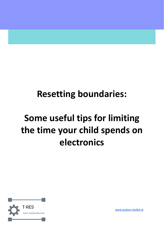## **Resetting boundaries:**

# **Some useful tips for limiting the time your child spends on electronics**



[www.autism-toolkit.ie](http://www.autism-toolkit.ie)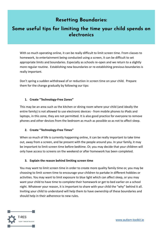## **Resetting Boundaries:**

## Some useful tips for limiting the time your child spends on electronics

With so much operating online, it can be really difficult to limit screen time. From classes to homework, to entertainment being conducted using a screen, it can be difficult to set appropriate limits and boundaries. Especially as schools re-open and we return to a slightly more regular routine. Establishing new boundaries or re-establishing previous boundaries is really important.

Don't spring a sudden withdrawal of or reduction in screen time on your child. Prepare them for the change gradually by following our tips:

#### **1. Create "Technology-Free Zones"**

This may be an area such as the kitchen or dining room where your child (and ideally the entire family) is not allowed to use electronic devices - from mobile phones to iPads and laptops, in this zone, they are not permitted. It is also good practice for everyone to remove phones and other devices from the bedroom as much as possible so as not to affect sleep.

#### **2. Create "Technology-Free Times"**

When so much of life is currently happening online, it can be really important to take time out, away from a screen, and be present with the people around you. In your family, it may be important to limit screen time before bedtime. Or, you may decide that your children will only have access to screens on the weekend or after homework has been completed.

#### **3. Explain the reason behind limiting screen time**

You may want to limit screen time in order to create more quality family time or, you may be choosing to limit screen time to encourage your children to partake in different hobbies or activities. You may want to limit exposure to blue light which can affect sleep, or you may want your child to have time to complete their homework or get to bed earlier on a school night. Whatever your reason, it is important to share with your child the "why" behind it all. Inviting your child to understand will help them to have ownership of these boundaries and should help in their adherence to new rules.